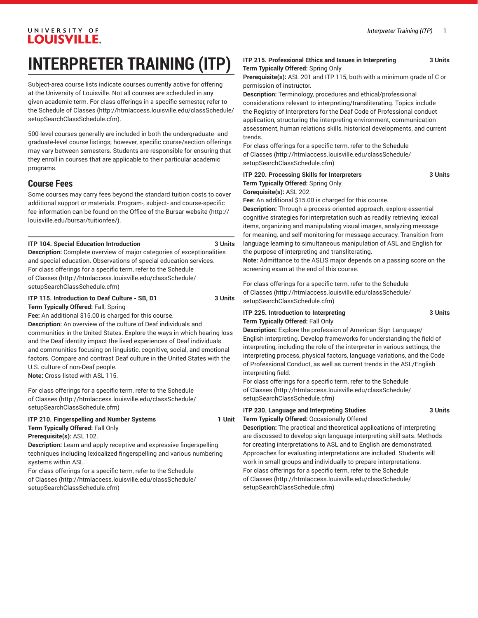# UNIVERSITY OF **LOUISVILLE.**

# **INTERPRETER TRAINING (ITP)**

Subject-area course lists indicate courses currently active for offering at the University of Louisville. Not all courses are scheduled in any given academic term. For class offerings in a specific semester, refer to the [Schedule of Classes](http://htmlaccess.louisville.edu/classSchedule/setupSearchClassSchedule.cfm) ([http://htmlaccess.louisville.edu/classSchedule/](http://htmlaccess.louisville.edu/classSchedule/setupSearchClassSchedule.cfm) [setupSearchClassSchedule.cfm\)](http://htmlaccess.louisville.edu/classSchedule/setupSearchClassSchedule.cfm).

500-level courses generally are included in both the undergraduate- and graduate-level course listings; however, specific course/section offerings may vary between semesters. Students are responsible for ensuring that they enroll in courses that are applicable to their particular academic programs.

# **Course Fees**

Some courses may carry fees beyond the standard tuition costs to cover additional support or materials. Program-, subject- and course-specific fee information can be found on the [Office of the Bursar website](http://louisville.edu/bursar/tuitionfee/) ([http://](http://louisville.edu/bursar/tuitionfee/) [louisville.edu/bursar/tuitionfee/](http://louisville.edu/bursar/tuitionfee/)).

# **ITP 104. Special Education Introduction 3 Units**

**Description:** Complete overview of major categories of exceptionalities and special education. Observations of special education services. For class offerings for a specific term, refer to the [Schedule](http://htmlaccess.louisville.edu/classSchedule/setupSearchClassSchedule.cfm) [of Classes \(http://htmlaccess.louisville.edu/classSchedule/](http://htmlaccess.louisville.edu/classSchedule/setupSearchClassSchedule.cfm) [setupSearchClassSchedule.cfm\)](http://htmlaccess.louisville.edu/classSchedule/setupSearchClassSchedule.cfm)

#### **ITP 115. Introduction to Deaf Culture - SB, D1 3 Units Term Typically Offered:** Fall, Spring

**Fee:** An additional \$15.00 is charged for this course.

**Description:** An overview of the culture of Deaf individuals and communities in the United States. Explore the ways in which hearing loss and the Deaf identity impact the lived experiences of Deaf individuals and communities focusing on linguistic, cognitive, social, and emotional factors. Compare and contrast Deaf culture in the United States with the U.S. culture of non-Deaf people.

**Note:** Cross-listed with ASL 115.

For class offerings for a specific term, refer to the [Schedule](http://htmlaccess.louisville.edu/classSchedule/setupSearchClassSchedule.cfm) [of Classes \(http://htmlaccess.louisville.edu/classSchedule/](http://htmlaccess.louisville.edu/classSchedule/setupSearchClassSchedule.cfm) [setupSearchClassSchedule.cfm\)](http://htmlaccess.louisville.edu/classSchedule/setupSearchClassSchedule.cfm)

# **ITP 210. Fingerspelling and Number Systems 1 Unit**

**Term Typically Offered:** Fall Only **Prerequisite(s):** ASL 102.

**Description:** Learn and apply receptive and expressive fingerspelling techniques including lexicalized fingerspelling and various numbering systems within ASL.

For class offerings for a specific term, refer to the [Schedule](http://htmlaccess.louisville.edu/classSchedule/setupSearchClassSchedule.cfm) [of Classes \(http://htmlaccess.louisville.edu/classSchedule/](http://htmlaccess.louisville.edu/classSchedule/setupSearchClassSchedule.cfm) [setupSearchClassSchedule.cfm\)](http://htmlaccess.louisville.edu/classSchedule/setupSearchClassSchedule.cfm)

## **ITP 215. Professional Ethics and Issues in Interpreting 3 Units Term Typically Offered:** Spring Only

**Prerequisite(s):** ASL 201 and ITP 115, both with a minimum grade of C or permission of instructor.

**Description:** Terminology, procedures and ethical/professional considerations relevant to interpreting/transliterating. Topics include the Registry of Interpreters for the Deaf Code of Professional conduct application, structuring the interpreting environment, communication assessment, human relations skills, historical developments, and current trends.

For class offerings for a specific term, refer to the [Schedule](http://htmlaccess.louisville.edu/classSchedule/setupSearchClassSchedule.cfm) [of Classes](http://htmlaccess.louisville.edu/classSchedule/setupSearchClassSchedule.cfm) ([http://htmlaccess.louisville.edu/classSchedule/](http://htmlaccess.louisville.edu/classSchedule/setupSearchClassSchedule.cfm) [setupSearchClassSchedule.cfm\)](http://htmlaccess.louisville.edu/classSchedule/setupSearchClassSchedule.cfm)

| <b>ITP 220. Processing Skills for Interpreters</b>     | 3 Units |
|--------------------------------------------------------|---------|
| <b>Term Typically Offered:</b> Spring Only             |         |
| Coreguisite(s): ASL 202.                               |         |
| Fee: An additional \$15.00 is charged for this course. |         |

**Description:** Through a process-oriented approach, explore essential cognitive strategies for interpretation such as readily retrieving lexical items, organizing and manipulating visual images, analyzing message for meaning, and self-monitoring for message accuracy. Transition from language learning to simultaneous manipulation of ASL and English for the purpose of interpreting and transliterating.

**Note:** Admittance to the ASLIS major depends on a passing score on the screening exam at the end of this course.

For class offerings for a specific term, refer to the [Schedule](http://htmlaccess.louisville.edu/classSchedule/setupSearchClassSchedule.cfm) [of Classes](http://htmlaccess.louisville.edu/classSchedule/setupSearchClassSchedule.cfm) ([http://htmlaccess.louisville.edu/classSchedule/](http://htmlaccess.louisville.edu/classSchedule/setupSearchClassSchedule.cfm) [setupSearchClassSchedule.cfm\)](http://htmlaccess.louisville.edu/classSchedule/setupSearchClassSchedule.cfm)

### **ITP 225. Introduction to Interpreting 3 Units Term Typically Offered:** Fall Only

**Description:** Explore the profession of American Sign Language/ English interpreting. Develop frameworks for understanding the field of interpreting, including the role of the interpreter in various settings, the interpreting process, physical factors, language variations, and the Code of Professional Conduct, as well as current trends in the ASL/English interpreting field.

For class offerings for a specific term, refer to the [Schedule](http://htmlaccess.louisville.edu/classSchedule/setupSearchClassSchedule.cfm) [of Classes](http://htmlaccess.louisville.edu/classSchedule/setupSearchClassSchedule.cfm) ([http://htmlaccess.louisville.edu/classSchedule/](http://htmlaccess.louisville.edu/classSchedule/setupSearchClassSchedule.cfm) [setupSearchClassSchedule.cfm\)](http://htmlaccess.louisville.edu/classSchedule/setupSearchClassSchedule.cfm)

# **ITP 230. Language and Interpreting Studies 3 Units**

# **Term Typically Offered:** Occasionally Offered

**Description:** The practical and theoretical applications of interpreting are discussed to develop sign language interpreting skill-sats. Methods for creating interpretations to ASL and to English are demonstrated. Approaches for evaluating interpretations are included. Students will work in small groups and individually to prepare interpretations. For class offerings for a specific term, refer to the [Schedule](http://htmlaccess.louisville.edu/classSchedule/setupSearchClassSchedule.cfm) [of Classes](http://htmlaccess.louisville.edu/classSchedule/setupSearchClassSchedule.cfm) ([http://htmlaccess.louisville.edu/classSchedule/](http://htmlaccess.louisville.edu/classSchedule/setupSearchClassSchedule.cfm) [setupSearchClassSchedule.cfm\)](http://htmlaccess.louisville.edu/classSchedule/setupSearchClassSchedule.cfm)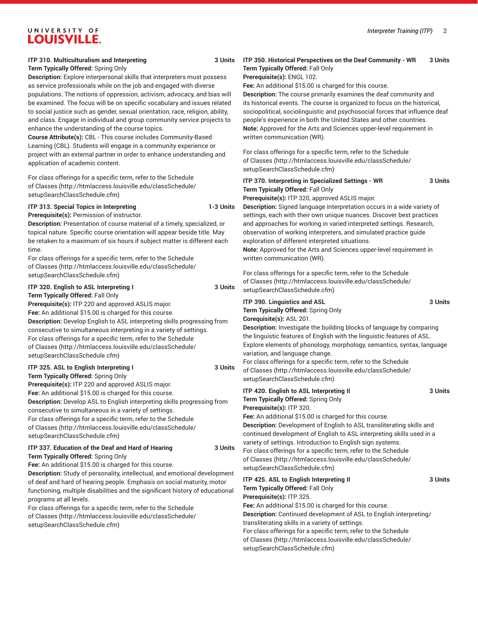# UNIVERSITY OF **LOUISVILLE.**

# **ITP 310. Multiculturalism and Interpreting 3 Units**

**Term Typically Offered:** Spring Only

**Description:** Explore interpersonal skills that interpreters must possess as service professionals while on the job and engaged with diverse populations. The notions of oppression, activism, advocacy, and bias will be examined. The focus will be on specific vocabulary and issues related to social justice such as gender, sexual orientation, race, religion, ability, and class. Engage in individual and group community service projects to enhance the understanding of the course topics.

**Course Attribute(s):** CBL - This course includes Community-Based Learning (CBL). Students will engage in a community experience or project with an external partner in order to enhance understanding and application of academic content.

For class offerings for a specific term, refer to the [Schedule](http://htmlaccess.louisville.edu/classSchedule/setupSearchClassSchedule.cfm) [of Classes \(http://htmlaccess.louisville.edu/classSchedule/](http://htmlaccess.louisville.edu/classSchedule/setupSearchClassSchedule.cfm) [setupSearchClassSchedule.cfm\)](http://htmlaccess.louisville.edu/classSchedule/setupSearchClassSchedule.cfm)

# **ITP 313. Special Topics in Interpreting 1-3 Units**

**Prerequisite(s):** Permission of instructor. **Description:** Presentation of course material of a timely, specialized, or topical nature. Specific course orientation will appear beside title. May be retaken to a maximum of six hours if subject matter is different each time.

For class offerings for a specific term, refer to the [Schedule](http://htmlaccess.louisville.edu/classSchedule/setupSearchClassSchedule.cfm) [of Classes \(http://htmlaccess.louisville.edu/classSchedule/](http://htmlaccess.louisville.edu/classSchedule/setupSearchClassSchedule.cfm) [setupSearchClassSchedule.cfm\)](http://htmlaccess.louisville.edu/classSchedule/setupSearchClassSchedule.cfm)

**ITP 320. English to ASL Interpreting I 3 Units** 

**Term Typically Offered:** Fall Only

**Prerequisite(s):** ITP 220 and approved ASLIS major.

**Fee:** An additional \$15.00 is charged for this course. **Description:** Develop English to ASL interpreting skills progressing from consecutive to simultaneous interpreting in a variety of settings. For class offerings for a specific term, refer to the [Schedule](http://htmlaccess.louisville.edu/classSchedule/setupSearchClassSchedule.cfm) [of Classes \(http://htmlaccess.louisville.edu/classSchedule/](http://htmlaccess.louisville.edu/classSchedule/setupSearchClassSchedule.cfm) [setupSearchClassSchedule.cfm\)](http://htmlaccess.louisville.edu/classSchedule/setupSearchClassSchedule.cfm)

# **ITP 325. ASL to English Interpreting I 3 Units**

**Term Typically Offered:** Spring Only **Prerequisite(s):** ITP 220 and approved ASLIS major. **Fee:** An additional \$15.00 is charged for this course. **Description:** Develop ASL to English interpreting skills progressing from consecutive to simultaneous in a variety of settings. For class offerings for a specific term, refer to the [Schedule](http://htmlaccess.louisville.edu/classSchedule/setupSearchClassSchedule.cfm) [of Classes \(http://htmlaccess.louisville.edu/classSchedule/](http://htmlaccess.louisville.edu/classSchedule/setupSearchClassSchedule.cfm) [setupSearchClassSchedule.cfm\)](http://htmlaccess.louisville.edu/classSchedule/setupSearchClassSchedule.cfm)

#### **ITP 337. Education of the Deaf and Hard of Hearing 3 Units Term Typically Offered:** Spring Only

**Fee:** An additional \$15.00 is charged for this course.

**Description:** Study of personality, intellectual, and emotional development of deaf and hard of hearing people. Emphasis on social maturity, motor functioning, multiple disabilities and the significant history of educational programs at all levels.

For class offerings for a specific term, refer to the [Schedule](http://htmlaccess.louisville.edu/classSchedule/setupSearchClassSchedule.cfm) [of Classes \(http://htmlaccess.louisville.edu/classSchedule/](http://htmlaccess.louisville.edu/classSchedule/setupSearchClassSchedule.cfm) [setupSearchClassSchedule.cfm\)](http://htmlaccess.louisville.edu/classSchedule/setupSearchClassSchedule.cfm)

### **ITP 350. Historical Perspectives on the Deaf Community - WR 3 Units Term Typically Offered:** Fall Only

#### **Prerequisite(s):** ENGL 102.

**Fee:** An additional \$15.00 is charged for this course.

**Description:** The course primarily examines the deaf community and its historical events. The course is organized to focus on the historical, sociopolitical, sociolinguistic and psychosocial forces that influence deaf people's experience in both the United States and other countries. **Note:** Approved for the Arts and Sciences upper-level requirement in written communication (WR).

For class offerings for a specific term, refer to the [Schedule](http://htmlaccess.louisville.edu/classSchedule/setupSearchClassSchedule.cfm) [of Classes](http://htmlaccess.louisville.edu/classSchedule/setupSearchClassSchedule.cfm) ([http://htmlaccess.louisville.edu/classSchedule/](http://htmlaccess.louisville.edu/classSchedule/setupSearchClassSchedule.cfm) [setupSearchClassSchedule.cfm\)](http://htmlaccess.louisville.edu/classSchedule/setupSearchClassSchedule.cfm)

# **ITP 370. Interpreting in Specialized Settings - WR 3 Units Term Typically Offered:** Fall Only

**Prerequisite(s):** ITP 320, approved ASLIS major.

**Description:** Signed language interpretation occurs in a wide variety of settings, each with their own unique nuances. Discover best practices and approaches for working in varied interpreted settings. Research, observation of working interpreters, and simulated practice guide exploration of different interpreted situations.

**Note:** Approved for the Arts and Sciences upper-level requirement in written communication (WR).

For class offerings for a specific term, refer to the [Schedule](http://htmlaccess.louisville.edu/classSchedule/setupSearchClassSchedule.cfm) [of Classes](http://htmlaccess.louisville.edu/classSchedule/setupSearchClassSchedule.cfm) ([http://htmlaccess.louisville.edu/classSchedule/](http://htmlaccess.louisville.edu/classSchedule/setupSearchClassSchedule.cfm) [setupSearchClassSchedule.cfm\)](http://htmlaccess.louisville.edu/classSchedule/setupSearchClassSchedule.cfm)

| <b>ITP 390. Linguistics and ASL</b>                                                                       | 3 Units |
|-----------------------------------------------------------------------------------------------------------|---------|
| Term Typically Offered: Spring Only                                                                       |         |
| Corequisite(s): ASL 201.                                                                                  |         |
| <b>Description:</b> Investigate the building blocks of language by comparing                              |         |
| the linguistic features of English with the linguistic features of ASL.                                   |         |
| Explore elements of phonology, morphology, semantics, syntax, language<br>variation, and language change. |         |
| For class offerings for a specific term, refer to the Schedule                                            |         |
| of Classes (http://htmlaccess.louisville.edu/classSchedule/<br>setupSearchClassSchedule.cfm)              |         |
|                                                                                                           |         |

| <b>ITP 420. English to ASL Interpreting II</b>                                                                                                                                                                                                                                                                                                                                        | 3 Units |
|---------------------------------------------------------------------------------------------------------------------------------------------------------------------------------------------------------------------------------------------------------------------------------------------------------------------------------------------------------------------------------------|---------|
| Term Typically Offered: Spring Only                                                                                                                                                                                                                                                                                                                                                   |         |
| Prerequisite(s): ITP 320.                                                                                                                                                                                                                                                                                                                                                             |         |
| Fee: An additional \$15.00 is charged for this course.                                                                                                                                                                                                                                                                                                                                |         |
| <b>Description:</b> Development of English to ASL transliterating skills and<br>continued development of English to ASL interpreting skills used in a<br>variety of settings. Introduction to English sign systems.<br>For class offerings for a specific term, refer to the Schedule<br>of Classes (http://htmlaccess.louisville.edu/classSchedule/<br>setupSearchClassSchedule.cfm) |         |
| ITP 425. ASL to English Interpreting II                                                                                                                                                                                                                                                                                                                                               | 3 Units |
| Term Typically Offered: Fall Only<br><b>Prerequisite(s): ITP 325.</b>                                                                                                                                                                                                                                                                                                                 |         |
| Fee: An additional \$15.00 is charged for this course.                                                                                                                                                                                                                                                                                                                                |         |
| <b>Description:</b> Continued development of ASL to English interpreting/<br>transliterating skills in a variety of settings.                                                                                                                                                                                                                                                         |         |
|                                                                                                                                                                                                                                                                                                                                                                                       |         |

For class offerings for a specific term, refer to the [Schedule](http://htmlaccess.louisville.edu/classSchedule/setupSearchClassSchedule.cfm) [of Classes](http://htmlaccess.louisville.edu/classSchedule/setupSearchClassSchedule.cfm) ([http://htmlaccess.louisville.edu/classSchedule/](http://htmlaccess.louisville.edu/classSchedule/setupSearchClassSchedule.cfm) [setupSearchClassSchedule.cfm\)](http://htmlaccess.louisville.edu/classSchedule/setupSearchClassSchedule.cfm)